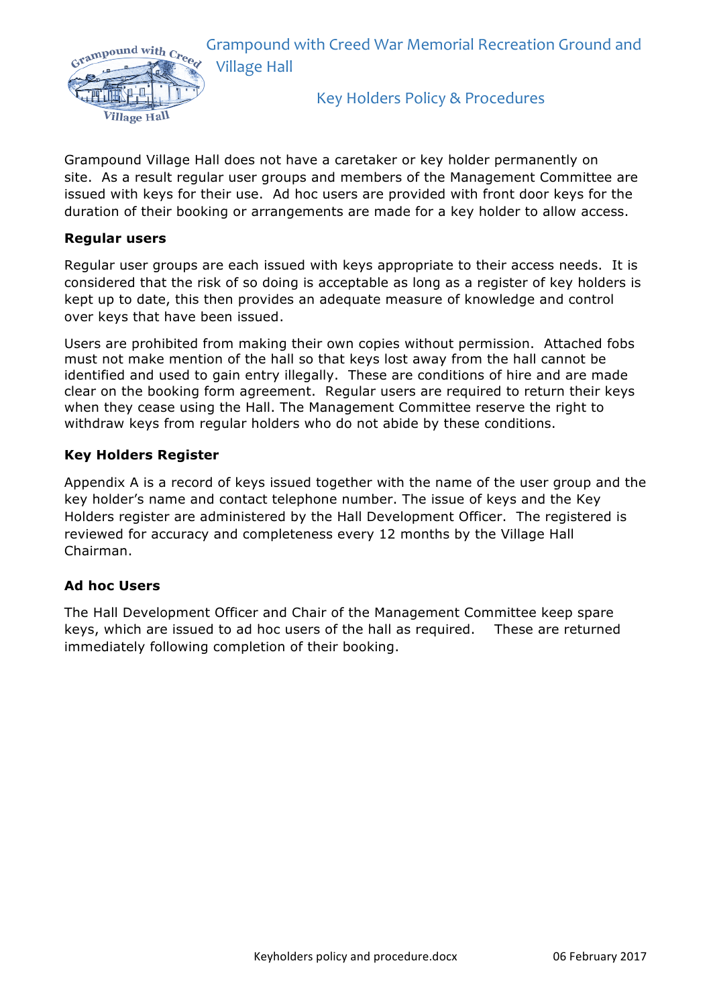

Grampound Village Hall does not have a caretaker or key holder permanently on site. As a result regular user groups and members of the Management Committee are issued with keys for their use. Ad hoc users are provided with front door keys for the duration of their booking or arrangements are made for a key holder to allow access.

## **Regular users**

Regular user groups are each issued with keys appropriate to their access needs. It is considered that the risk of so doing is acceptable as long as a register of key holders is kept up to date, this then provides an adequate measure of knowledge and control over keys that have been issued.

Users are prohibited from making their own copies without permission. Attached fobs must not make mention of the hall so that keys lost away from the hall cannot be identified and used to gain entry illegally. These are conditions of hire and are made clear on the booking form agreement. Regular users are required to return their keys when they cease using the Hall. The Management Committee reserve the right to withdraw keys from regular holders who do not abide by these conditions.

## **Key Holders Register**

Appendix A is a record of keys issued together with the name of the user group and the key holder's name and contact telephone number. The issue of keys and the Key Holders register are administered by the Hall Development Officer. The registered is reviewed for accuracy and completeness every 12 months by the Village Hall Chairman.

## **Ad hoc Users**

The Hall Development Officer and Chair of the Management Committee keep spare keys, which are issued to ad hoc users of the hall as required. These are returned immediately following completion of their booking.